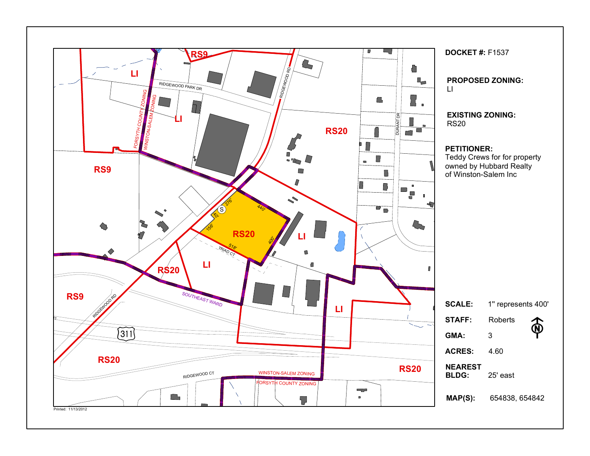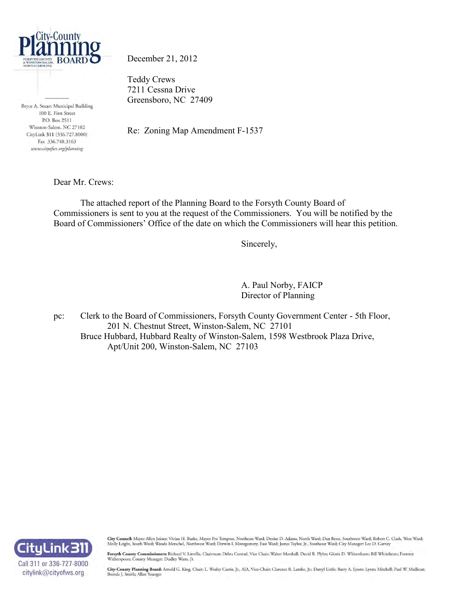

Bryce A. Stuart Municipal Building 100 E. First Street P.O. Box 2511 Winston-Salem, NC 27102 CityLink 311 (336.727.8000) Fax 336.748.3163 www.cityofws.org/planning

December 21, 2012

Teddy Crews 7211 Cessna Drive Greensboro, NC 27409

Re: Zoning Map Amendment F-1537

Dear Mr. Crews:

 The attached report of the Planning Board to the Forsyth County Board of Commissioners is sent to you at the request of the Commissioners. You will be notified by the Board of Commissioners' Office of the date on which the Commissioners will hear this petition.

Sincerely,

 A. Paul Norby, FAICP Director of Planning

pc: Clerk to the Board of Commissioners, Forsyth County Government Center - 5th Floor, 201 N. Chestnut Street, Winston-Salem, NC 27101 Bruce Hubbard, Hubbard Realty of Winston-Salem, 1598 Westbrook Plaza Drive, Apt/Unit 200, Winston-Salem, NC 27103



City Council: Mayor Allen Joines; Vivian H. Burke, Mayor Pro Tempore, Northeast Ward; Denise D. Adams, North Ward; Dan Besse, Southwest Ward; Robert C. Clark, West Ward; Molly Leight, South Ward; Wanda Merschel, Northwest Ward; Derwin L Montgomery, East Ward; James Taylor, Jr., Southeast Ward; City Manager: Lee D. Garrity

Forsyth County Commissioners: Richard V. Linville, Chairman; Debra Conrad, Vice Chair; Walter Marshall; David R. Plyler; Gloria D. Whisenhunt; Bill Whiteheart; Everette Witherspoon; County Manager: Dudley Watts, Jr.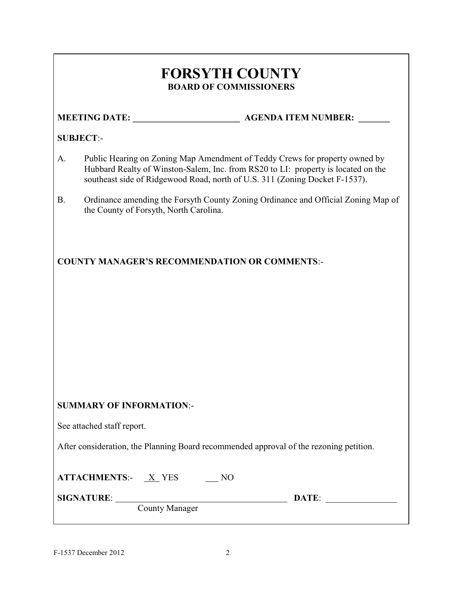## **FORSYTH COUNTY BOARD OF COMMISSIONERS**

#### **MEETING DATE: \_\_\_\_\_\_\_\_\_\_\_\_\_\_\_\_\_\_\_\_\_\_\_\_ AGENDA ITEM NUMBER: \_\_\_\_\_\_\_**

#### **SUBJECT**:-

- A. Public Hearing on Zoning Map Amendment of Teddy Crews for property owned by Hubbard Realty of Winston-Salem, Inc. from RS20 to LI: property is located on the southeast side of Ridgewood Road, north of U.S. 311 (Zoning Docket F-1537).
- B. Ordinance amending the Forsyth County Zoning Ordinance and Official Zoning Map of the County of Forsyth, North Carolina.

**COUNTY MANAGER'S RECOMMENDATION OR COMMENTS**:-

#### **SUMMARY OF INFORMATION**:-

See attached staff report.

After consideration, the Planning Board recommended approval of the rezoning petition.

**ATTACHMENTS:**- <u>X</u> YES \_\_\_ NO

County Manager

**SIGNATURE**: **DATE**: \_\_\_\_\_\_\_\_\_\_\_\_\_\_\_\_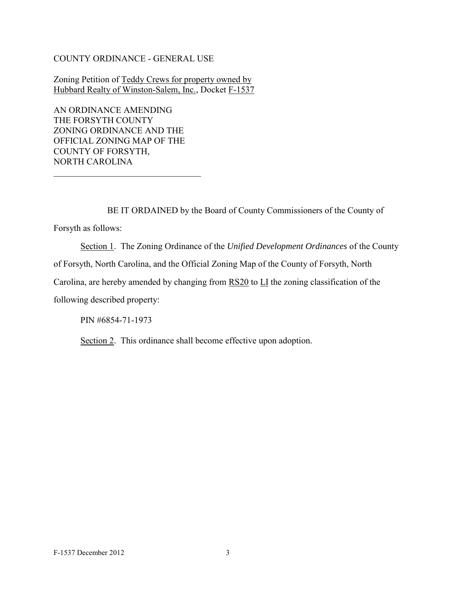#### COUNTY ORDINANCE - GENERAL USE

Zoning Petition of Teddy Crews for property owned by Hubbard Realty of Winston-Salem, Inc., Docket F-1537

AN ORDINANCE AMENDING THE FORSYTH COUNTY ZONING ORDINANCE AND THE OFFICIAL ZONING MAP OF THE COUNTY OF FORSYTH, NORTH CAROLINA

\_\_\_\_\_\_\_\_\_\_\_\_\_\_\_\_\_\_\_\_\_\_\_\_\_\_\_\_\_\_\_\_\_

BE IT ORDAINED by the Board of County Commissioners of the County of

Forsyth as follows:

 Section 1. The Zoning Ordinance of the *Unified Development Ordinances* of the County of Forsyth, North Carolina, and the Official Zoning Map of the County of Forsyth, North Carolina, are hereby amended by changing from  $\overline{RS20}$  to  $\overline{LI}$  the zoning classification of the following described property:

PIN #6854-71-1973

Section 2. This ordinance shall become effective upon adoption.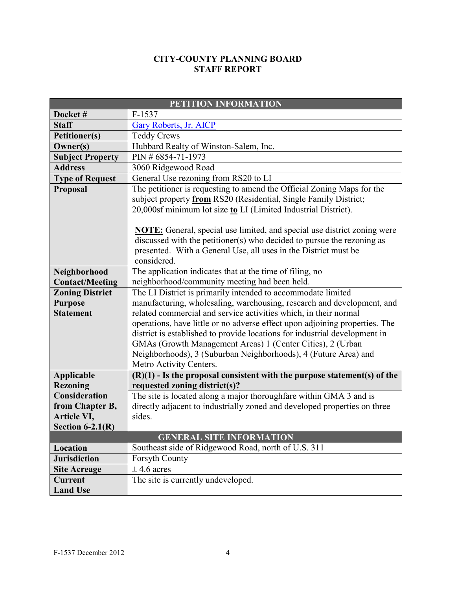#### **CITY-COUNTY PLANNING BOARD STAFF REPORT**

| PETITION INFORMATION                                         |                                                                                                                                                                                                                                                                                                                                                                                                                                                                                                                                     |  |  |
|--------------------------------------------------------------|-------------------------------------------------------------------------------------------------------------------------------------------------------------------------------------------------------------------------------------------------------------------------------------------------------------------------------------------------------------------------------------------------------------------------------------------------------------------------------------------------------------------------------------|--|--|
| Docket#                                                      | F-1537                                                                                                                                                                                                                                                                                                                                                                                                                                                                                                                              |  |  |
| <b>Staff</b>                                                 | <b>Gary Roberts, Jr. AICP</b>                                                                                                                                                                                                                                                                                                                                                                                                                                                                                                       |  |  |
| <b>Petitioner(s)</b>                                         | <b>Teddy Crews</b>                                                                                                                                                                                                                                                                                                                                                                                                                                                                                                                  |  |  |
| Owner(s)                                                     | Hubbard Realty of Winston-Salem, Inc.                                                                                                                                                                                                                                                                                                                                                                                                                                                                                               |  |  |
| <b>Subject Property</b>                                      | PIN #6854-71-1973                                                                                                                                                                                                                                                                                                                                                                                                                                                                                                                   |  |  |
| <b>Address</b>                                               | 3060 Ridgewood Road                                                                                                                                                                                                                                                                                                                                                                                                                                                                                                                 |  |  |
| <b>Type of Request</b>                                       | General Use rezoning from RS20 to LI                                                                                                                                                                                                                                                                                                                                                                                                                                                                                                |  |  |
| Proposal                                                     | The petitioner is requesting to amend the Official Zoning Maps for the<br>subject property from RS20 (Residential, Single Family District;<br>20,000sf minimum lot size to LI (Limited Industrial District).<br><b>NOTE:</b> General, special use limited, and special use district zoning were<br>discussed with the petitioner(s) who decided to pursue the rezoning as<br>presented. With a General Use, all uses in the District must be<br>considered.                                                                         |  |  |
| Neighborhood                                                 | The application indicates that at the time of filing, no                                                                                                                                                                                                                                                                                                                                                                                                                                                                            |  |  |
| <b>Contact/Meeting</b>                                       | neighborhood/community meeting had been held.                                                                                                                                                                                                                                                                                                                                                                                                                                                                                       |  |  |
| <b>Zoning District</b><br><b>Purpose</b><br><b>Statement</b> | The LI District is primarily intended to accommodate limited<br>manufacturing, wholesaling, warehousing, research and development, and<br>related commercial and service activities which, in their normal<br>operations, have little or no adverse effect upon adjoining properties. The<br>district is established to provide locations for industrial development in<br>GMAs (Growth Management Areas) 1 (Center Cities), 2 (Urban<br>Neighborhoods), 3 (Suburban Neighborhoods), 4 (Future Area) and<br>Metro Activity Centers. |  |  |
| <b>Applicable</b>                                            | $(R)(1)$ - Is the proposal consistent with the purpose statement(s) of the                                                                                                                                                                                                                                                                                                                                                                                                                                                          |  |  |
| <b>Rezoning</b>                                              | requested zoning district(s)?                                                                                                                                                                                                                                                                                                                                                                                                                                                                                                       |  |  |
| <b>Consideration</b>                                         | The site is located along a major thoroughfare within GMA 3 and is                                                                                                                                                                                                                                                                                                                                                                                                                                                                  |  |  |
| from Chapter B,                                              | directly adjacent to industrially zoned and developed properties on three                                                                                                                                                                                                                                                                                                                                                                                                                                                           |  |  |
| Article VI,                                                  | sides.                                                                                                                                                                                                                                                                                                                                                                                                                                                                                                                              |  |  |
| Section $6-2.1(R)$                                           |                                                                                                                                                                                                                                                                                                                                                                                                                                                                                                                                     |  |  |
|                                                              | <b>GENERAL SITE INFORMATION</b>                                                                                                                                                                                                                                                                                                                                                                                                                                                                                                     |  |  |
| Location                                                     | Southeast side of Ridgewood Road, north of U.S. 311                                                                                                                                                                                                                                                                                                                                                                                                                                                                                 |  |  |
| <b>Jurisdiction</b>                                          | <b>Forsyth County</b>                                                                                                                                                                                                                                                                                                                                                                                                                                                                                                               |  |  |
| <b>Site Acreage</b>                                          | $\pm$ 4.6 acres                                                                                                                                                                                                                                                                                                                                                                                                                                                                                                                     |  |  |
| Current<br><b>Land Use</b>                                   | The site is currently undeveloped.                                                                                                                                                                                                                                                                                                                                                                                                                                                                                                  |  |  |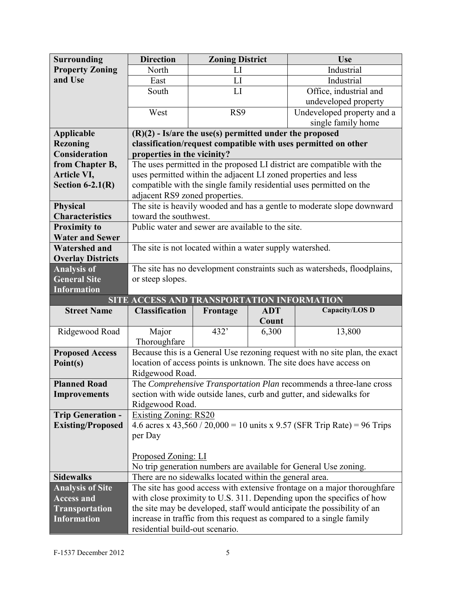| <b>Surrounding</b>       | <b>Direction</b>                                                       | <b>Zoning District</b>                                    |            | <b>Use</b>                                                                  |  |
|--------------------------|------------------------------------------------------------------------|-----------------------------------------------------------|------------|-----------------------------------------------------------------------------|--|
| <b>Property Zoning</b>   | North                                                                  | LI                                                        |            | Industrial                                                                  |  |
| and Use                  | East                                                                   | LI                                                        |            | Industrial                                                                  |  |
|                          | South                                                                  | LI                                                        |            | Office, industrial and                                                      |  |
|                          |                                                                        |                                                           |            | undeveloped property                                                        |  |
|                          | West                                                                   | RS9                                                       |            | Undeveloped property and a                                                  |  |
|                          |                                                                        |                                                           |            | single family home                                                          |  |
| <b>Applicable</b>        |                                                                        | $(R)(2)$ - Is/are the use(s) permitted under the proposed |            |                                                                             |  |
| <b>Rezoning</b>          |                                                                        |                                                           |            | classification/request compatible with uses permitted on other              |  |
| <b>Consideration</b>     | properties in the vicinity?                                            |                                                           |            |                                                                             |  |
| from Chapter B,          | The uses permitted in the proposed LI district are compatible with the |                                                           |            |                                                                             |  |
| Article VI,              | uses permitted within the adjacent LI zoned properties and less        |                                                           |            |                                                                             |  |
| Section $6-2.1(R)$       |                                                                        |                                                           |            | compatible with the single family residential uses permitted on the         |  |
|                          | adjacent RS9 zoned properties.                                         |                                                           |            |                                                                             |  |
| <b>Physical</b>          | The site is heavily wooded and has a gentle to moderate slope downward |                                                           |            |                                                                             |  |
| <b>Characteristics</b>   | toward the southwest.                                                  |                                                           |            |                                                                             |  |
| <b>Proximity to</b>      | Public water and sewer are available to the site.                      |                                                           |            |                                                                             |  |
| <b>Water and Sewer</b>   |                                                                        |                                                           |            |                                                                             |  |
| <b>Watershed and</b>     | The site is not located within a water supply watershed.               |                                                           |            |                                                                             |  |
| <b>Overlay Districts</b> |                                                                        |                                                           |            |                                                                             |  |
| <b>Analysis of</b>       |                                                                        |                                                           |            | The site has no development constraints such as watersheds, floodplains,    |  |
| <b>General Site</b>      | or steep slopes.                                                       |                                                           |            |                                                                             |  |
| <b>Information</b>       |                                                                        |                                                           |            |                                                                             |  |
|                          |                                                                        |                                                           |            |                                                                             |  |
|                          | SITE ACCESS AND TRANSPORTATION INFORMATION                             |                                                           |            |                                                                             |  |
| <b>Street Name</b>       | <b>Classification</b>                                                  | Frontage                                                  | <b>ADT</b> | Capacity/LOS D                                                              |  |
|                          |                                                                        |                                                           | Count      |                                                                             |  |
| Ridgewood Road           | Major                                                                  | 432'                                                      | 6,300      | 13,800                                                                      |  |
|                          | Thoroughfare                                                           |                                                           |            |                                                                             |  |
| <b>Proposed Access</b>   |                                                                        |                                                           |            | Because this is a General Use rezoning request with no site plan, the exact |  |
| Point(s)                 | Ridgewood Road.                                                        |                                                           |            | location of access points is unknown. The site does have access on          |  |
| <b>Planned Road</b>      |                                                                        |                                                           |            | The Comprehensive Transportation Plan recommends a three-lane cross         |  |
| <b>Improvements</b>      |                                                                        |                                                           |            | section with wide outside lanes, curb and gutter, and sidewalks for         |  |
|                          | Ridgewood Road.                                                        |                                                           |            |                                                                             |  |
| <b>Trip Generation -</b> | <b>Existing Zoning: RS20</b>                                           |                                                           |            |                                                                             |  |
| <b>Existing/Proposed</b> |                                                                        |                                                           |            | 4.6 acres x 43,560 / 20,000 = 10 units x 9.57 (SFR Trip Rate) = 96 Trips    |  |
|                          | per Day                                                                |                                                           |            |                                                                             |  |
|                          |                                                                        |                                                           |            |                                                                             |  |
|                          | <u>Proposed Zoning: LI</u>                                             |                                                           |            |                                                                             |  |
|                          |                                                                        |                                                           |            | No trip generation numbers are available for General Use zoning.            |  |
| <b>Sidewalks</b>         |                                                                        | There are no sidewalks located within the general area.   |            |                                                                             |  |
| <b>Analysis of Site</b>  |                                                                        |                                                           |            | The site has good access with extensive frontage on a major thoroughfare    |  |
| <b>Access and</b>        |                                                                        |                                                           |            | with close proximity to U.S. 311. Depending upon the specifics of how       |  |
| <b>Transportation</b>    |                                                                        |                                                           |            | the site may be developed, staff would anticipate the possibility of an     |  |
| <b>Information</b>       | residential build-out scenario.                                        |                                                           |            | increase in traffic from this request as compared to a single family        |  |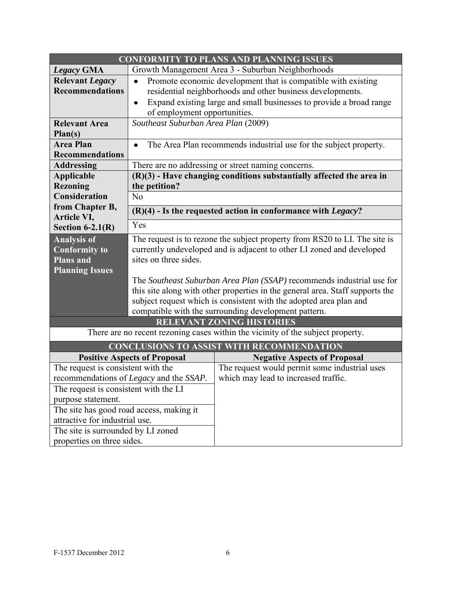| <b>CONFORMITY TO PLANS AND PLANNING ISSUES</b>                                  |                                                                                  |                                                                            |  |  |  |
|---------------------------------------------------------------------------------|----------------------------------------------------------------------------------|----------------------------------------------------------------------------|--|--|--|
| <b>Legacy GMA</b>                                                               | Growth Management Area 3 - Suburban Neighborhoods                                |                                                                            |  |  |  |
| <b>Relevant Legacy</b>                                                          | Promote economic development that is compatible with existing<br>$\bullet$       |                                                                            |  |  |  |
| <b>Recommendations</b>                                                          | residential neighborhoods and other business developments.                       |                                                                            |  |  |  |
|                                                                                 | Expand existing large and small businesses to provide a broad range<br>$\bullet$ |                                                                            |  |  |  |
|                                                                                 | of employment opportunities.                                                     |                                                                            |  |  |  |
| <b>Relevant Area</b>                                                            | Southeast Suburban Area Plan (2009)                                              |                                                                            |  |  |  |
| Plan(s)                                                                         |                                                                                  |                                                                            |  |  |  |
| <b>Area Plan</b>                                                                | The Area Plan recommends industrial use for the subject property.<br>$\bullet$   |                                                                            |  |  |  |
| <b>Recommendations</b>                                                          |                                                                                  |                                                                            |  |  |  |
| <b>Addressing</b>                                                               | There are no addressing or street naming concerns.                               |                                                                            |  |  |  |
| <b>Applicable</b>                                                               |                                                                                  | $(R)(3)$ - Have changing conditions substantially affected the area in     |  |  |  |
| <b>Rezoning</b>                                                                 | the petition?                                                                    |                                                                            |  |  |  |
| <b>Consideration</b>                                                            | No                                                                               |                                                                            |  |  |  |
| from Chapter B,                                                                 |                                                                                  | $(R)(4)$ - Is the requested action in conformance with Legacy?             |  |  |  |
| Article VI,<br>Section $6-2.1(R)$                                               | Yes                                                                              |                                                                            |  |  |  |
|                                                                                 |                                                                                  |                                                                            |  |  |  |
| <b>Analysis of</b>                                                              |                                                                                  | The request is to rezone the subject property from RS20 to LI. The site is |  |  |  |
| <b>Conformity to</b><br><b>Plans and</b>                                        |                                                                                  | currently undeveloped and is adjacent to other LI zoned and developed      |  |  |  |
| <b>Planning Issues</b>                                                          | sites on three sides.                                                            |                                                                            |  |  |  |
|                                                                                 | The Southeast Suburban Area Plan (SSAP) recommends industrial use for            |                                                                            |  |  |  |
|                                                                                 | this site along with other properties in the general area. Staff supports the    |                                                                            |  |  |  |
|                                                                                 |                                                                                  | subject request which is consistent with the adopted area plan and         |  |  |  |
|                                                                                 | compatible with the surrounding development pattern.                             |                                                                            |  |  |  |
| <b>RELEVANT ZONING HISTORIES</b>                                                |                                                                                  |                                                                            |  |  |  |
| There are no recent rezoning cases within the vicinity of the subject property. |                                                                                  |                                                                            |  |  |  |
| <b>CONCLUSIONS TO ASSIST WITH RECOMMENDATION</b>                                |                                                                                  |                                                                            |  |  |  |
| <b>Positive Aspects of Proposal</b>                                             |                                                                                  | <b>Negative Aspects of Proposal</b>                                        |  |  |  |
| The request is consistent with the                                              |                                                                                  | The request would permit some industrial uses                              |  |  |  |
| recommendations of Legacy and the SSAP.                                         |                                                                                  | which may lead to increased traffic.                                       |  |  |  |
| The request is consistent with the LI                                           |                                                                                  |                                                                            |  |  |  |
| purpose statement.                                                              |                                                                                  |                                                                            |  |  |  |
| The site has good road access, making it                                        |                                                                                  |                                                                            |  |  |  |
| attractive for industrial use.                                                  |                                                                                  |                                                                            |  |  |  |
| The site is surrounded by LI zoned                                              |                                                                                  |                                                                            |  |  |  |
| properties on three sides.                                                      |                                                                                  |                                                                            |  |  |  |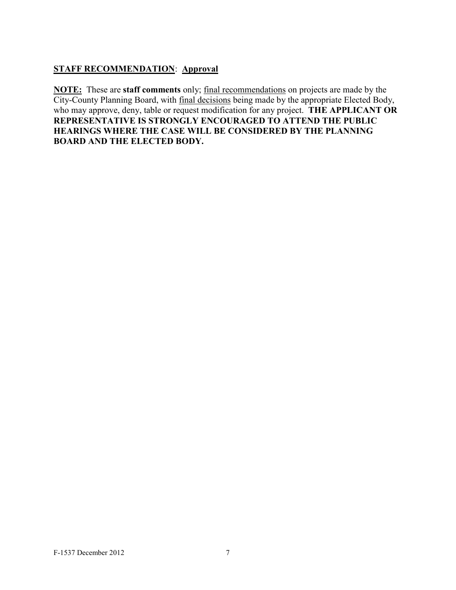#### **STAFF RECOMMENDATION**: **Approval**

**NOTE:** These are **staff comments** only; final recommendations on projects are made by the City-County Planning Board, with final decisions being made by the appropriate Elected Body, who may approve, deny, table or request modification for any project. **THE APPLICANT OR REPRESENTATIVE IS STRONGLY ENCOURAGED TO ATTEND THE PUBLIC HEARINGS WHERE THE CASE WILL BE CONSIDERED BY THE PLANNING BOARD AND THE ELECTED BODY.**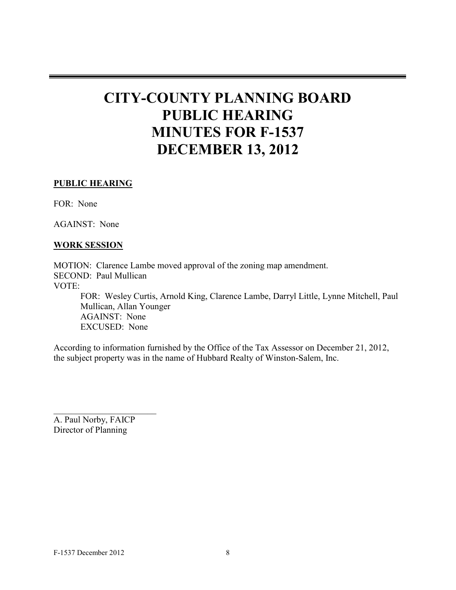# **CITY-COUNTY PLANNING BOARD PUBLIC HEARING MINUTES FOR F-1537 DECEMBER 13, 2012**

#### **PUBLIC HEARING**

FOR: None

AGAINST: None

#### **WORK SESSION**

MOTION: Clarence Lambe moved approval of the zoning map amendment. SECOND: Paul Mullican VOTE: FOR: Wesley Curtis, Arnold King, Clarence Lambe, Darryl Little, Lynne Mitchell, Paul Mullican, Allan Younger AGAINST: None EXCUSED: None

According to information furnished by the Office of the Tax Assessor on December 21, 2012, the subject property was in the name of Hubbard Realty of Winston-Salem, Inc.

A. Paul Norby, FAICP Director of Planning

 $\overline{\phantom{a}}$  , and the set of the set of the set of the set of the set of the set of the set of the set of the set of the set of the set of the set of the set of the set of the set of the set of the set of the set of the s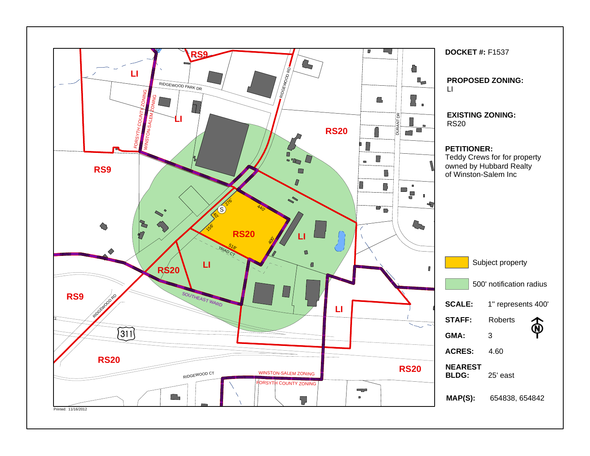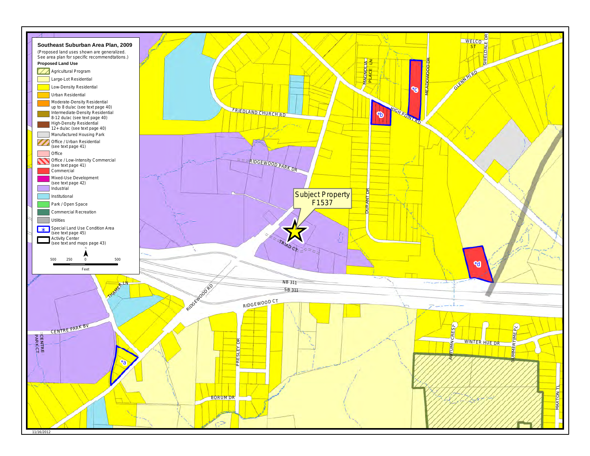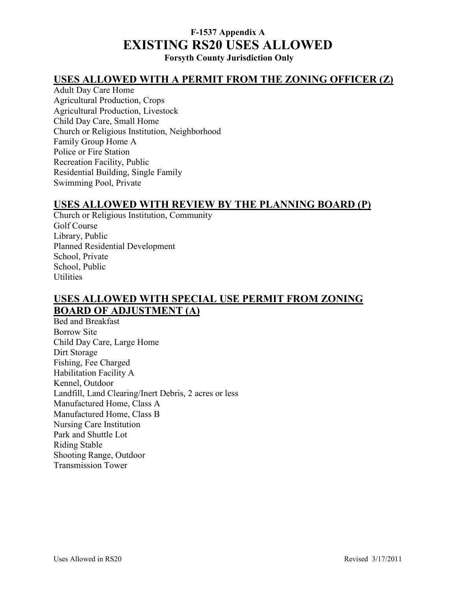# **F-1537 Appendix A EXISTING RS20 USES ALLOWED**

**Forsyth County Jurisdiction Only** 

#### **USES ALLOWED WITH A PERMIT FROM THE ZONING OFFICER (Z)**

Adult Day Care Home Agricultural Production, Crops Agricultural Production, Livestock Child Day Care, Small Home Church or Religious Institution, Neighborhood Family Group Home A Police or Fire Station Recreation Facility, Public Residential Building, Single Family Swimming Pool, Private

#### **USES ALLOWED WITH REVIEW BY THE PLANNING BOARD (P)**

Church or Religious Institution, Community Golf Course Library, Public Planned Residential Development School, Private School, Public Utilities

### **USES ALLOWED WITH SPECIAL USE PERMIT FROM ZONING BOARD OF ADJUSTMENT (A)**

Bed and Breakfast Borrow Site Child Day Care, Large Home Dirt Storage Fishing, Fee Charged Habilitation Facility A Kennel, Outdoor Landfill, Land Clearing/Inert Debris, 2 acres or less Manufactured Home, Class A Manufactured Home, Class B Nursing Care Institution Park and Shuttle Lot Riding Stable Shooting Range, Outdoor Transmission Tower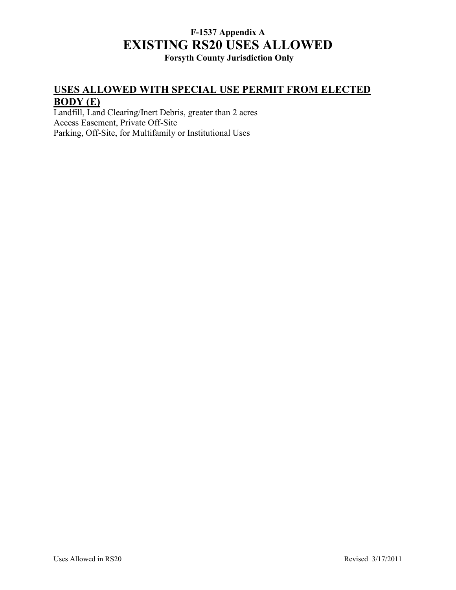# **F-1537 Appendix A EXISTING RS20 USES ALLOWED**

## **Forsyth County Jurisdiction Only**

### **USES ALLOWED WITH SPECIAL USE PERMIT FROM ELECTED BODY (E)**

Landfill, Land Clearing/Inert Debris, greater than 2 acres Access Easement, Private Off-Site Parking, Off-Site, for Multifamily or Institutional Uses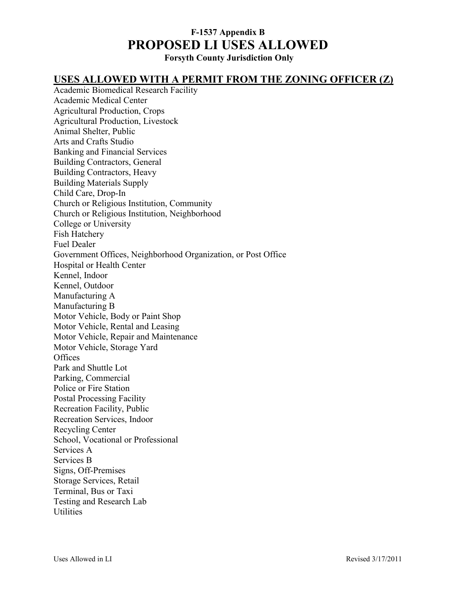## **F-1537 Appendix B PROPOSED LI USES ALLOWED**

**Forsyth County Jurisdiction Only** 

#### **USES ALLOWED WITH A PERMIT FROM THE ZONING OFFICER (Z)**

Academic Biomedical Research Facility Academic Medical Center Agricultural Production, Crops Agricultural Production, Livestock Animal Shelter, Public Arts and Crafts Studio Banking and Financial Services Building Contractors, General Building Contractors, Heavy Building Materials Supply Child Care, Drop-In Church or Religious Institution, Community Church or Religious Institution, Neighborhood College or University Fish Hatchery Fuel Dealer Government Offices, Neighborhood Organization, or Post Office Hospital or Health Center Kennel, Indoor Kennel, Outdoor Manufacturing A Manufacturing B Motor Vehicle, Body or Paint Shop Motor Vehicle, Rental and Leasing Motor Vehicle, Repair and Maintenance Motor Vehicle, Storage Yard **Offices** Park and Shuttle Lot Parking, Commercial Police or Fire Station Postal Processing Facility Recreation Facility, Public Recreation Services, Indoor Recycling Center School, Vocational or Professional Services A Services B Signs, Off-Premises Storage Services, Retail Terminal, Bus or Taxi Testing and Research Lab **Utilities**